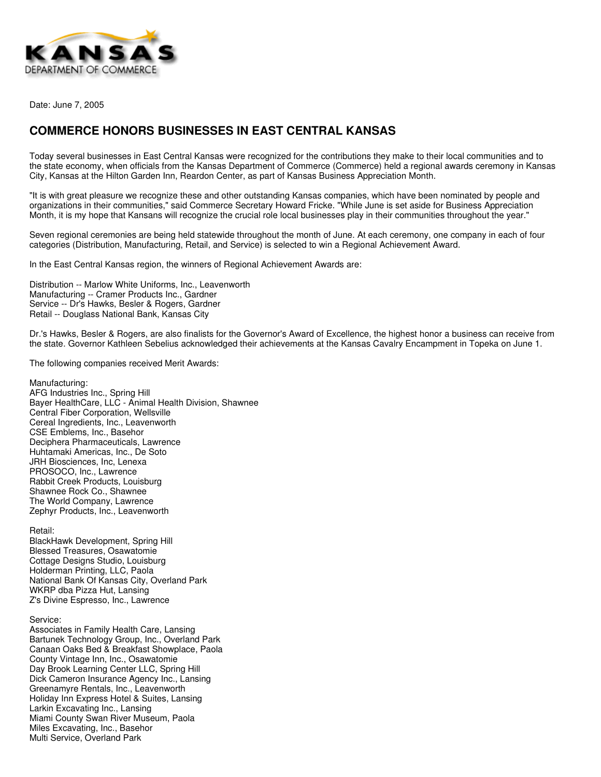

Date: June 7, 2005

## **COMMERCE HONORS BUSINESSES IN EAST CENTRAL KANSAS**

Today several businesses in East Central Kansas were recognized for the contributions they make to their local communities and to the state economy, when officials from the Kansas Department of Commerce (Commerce) held a regional awards ceremony in Kansas City, Kansas at the Hilton Garden Inn, Reardon Center, as part of Kansas Business Appreciation Month.

"It is with great pleasure we recognize these and other outstanding Kansas companies, which have been nominated by people and organizations in their communities," said Commerce Secretary Howard Fricke. "While June is set aside for Business Appreciation Month, it is my hope that Kansans will recognize the crucial role local businesses play in their communities throughout the year."

Seven regional ceremonies are being held statewide throughout the month of June. At each ceremony, one company in each of four categories (Distribution, Manufacturing, Retail, and Service) is selected to win a Regional Achievement Award.

In the East Central Kansas region, the winners of Regional Achievement Awards are:

Distribution -- Marlow White Uniforms, Inc., Leavenworth Manufacturing -- Cramer Products Inc., Gardner Service -- Dr's Hawks, Besler & Rogers, Gardner Retail -- Douglass National Bank, Kansas City

Dr.'s Hawks, Besler & Rogers, are also finalists for the Governor's Award of Excellence, the highest honor a business can receive from the state. Governor Kathleen Sebelius acknowledged their achievements at the Kansas Cavalry Encampment in Topeka on June 1.

The following companies received Merit Awards:

Manufacturing: AFG Industries Inc., Spring Hill Bayer HealthCare, LLC - Animal Health Division, Shawnee Central Fiber Corporation, Wellsville Cereal Ingredients, Inc., Leavenworth CSE Emblems, Inc., Basehor Deciphera Pharmaceuticals, Lawrence Huhtamaki Americas, Inc., De Soto JRH Biosciences, Inc, Lenexa PROSOCO, Inc., Lawrence Rabbit Creek Products, Louisburg Shawnee Rock Co., Shawnee The World Company, Lawrence Zephyr Products, Inc., Leavenworth

Retail:

BlackHawk Development, Spring Hill Blessed Treasures, Osawatomie Cottage Designs Studio, Louisburg Holderman Printing, LLC, Paola National Bank Of Kansas City, Overland Park WKRP dba Pizza Hut, Lansing Z's Divine Espresso, Inc., Lawrence

## Service:

Associates in Family Health Care, Lansing Bartunek Technology Group, Inc., Overland Park Canaan Oaks Bed & Breakfast Showplace, Paola County Vintage Inn, Inc., Osawatomie Day Brook Learning Center LLC, Spring Hill Dick Cameron Insurance Agency Inc., Lansing Greenamyre Rentals, Inc., Leavenworth Holiday Inn Express Hotel & Suites, Lansing Larkin Excavating Inc., Lansing Miami County Swan River Museum, Paola Miles Excavating, Inc., Basehor Multi Service, Overland Park